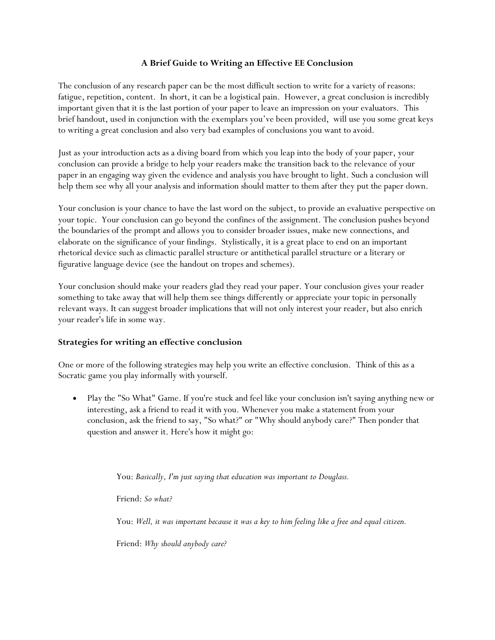## **A Brief Guide to Writing an Effective EE Conclusion**

The conclusion of any research paper can be the most difficult section to write for a variety of reasons: fatigue, repetition, content. In short, it can be a logistical pain. However, a great conclusion is incredibly important given that it is the last portion of your paper to leave an impression on your evaluators. This brief handout, used in conjunction with the exemplars you've been provided, will use you some great keys to writing a great conclusion and also very bad examples of conclusions you want to avoid.

Just as your introduction acts as a diving board from which you leap into the body of your paper, your conclusion can provide a bridge to help your readers make the transition back to the relevance of your paper in an engaging way given the evidence and analysis you have brought to light. Such a conclusion will help them see why all your analysis and information should matter to them after they put the paper down.

Your conclusion is your chance to have the last word on the subject, to provide an evaluative perspective on your topic. Your conclusion can go beyond the confines of the assignment. The conclusion pushes beyond the boundaries of the prompt and allows you to consider broader issues, make new connections, and elaborate on the significance of your findings. Stylistically, it is a great place to end on an important rhetorical device such as climactic parallel structure or antithetical parallel structure or a literary or figurative language device (see the handout on tropes and schemes).

Your conclusion should make your readers glad they read your paper. Your conclusion gives your reader something to take away that will help them see things differently or appreciate your topic in personally relevant ways. It can suggest broader implications that will not only interest your reader, but also enrich your reader's life in some way.

## **Strategies for writing an effective conclusion**

One or more of the following strategies may help you write an effective conclusion. Think of this as a Socratic game you play informally with yourself.

 Play the "So What" Game. If you're stuck and feel like your conclusion isn't saying anything new or interesting, ask a friend to read it with you. Whenever you make a statement from your conclusion, ask the friend to say, "So what?" or "Why should anybody care?" Then ponder that question and answer it. Here's how it might go:

You: *Basically, I'm just saying that education was important to Douglass.*

Friend: *So what?*

You: *Well, it was important because it was a key to him feeling like a free and equal citizen.*

Friend: *Why should anybody care?*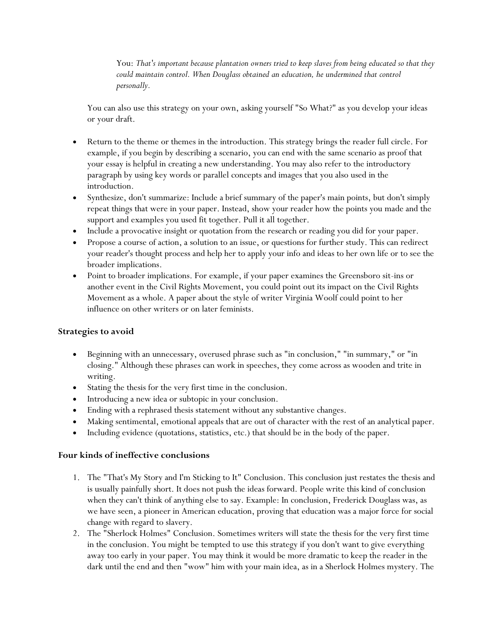You: *That's important because plantation owners tried to keep slaves from being educated so that they could maintain control. When Douglass obtained an education, he undermined that control personally.*

You can also use this strategy on your own, asking yourself "So What?" as you develop your ideas or your draft.

- Return to the theme or themes in the introduction. This strategy brings the reader full circle. For example, if you begin by describing a scenario, you can end with the same scenario as proof that your essay is helpful in creating a new understanding. You may also refer to the introductory paragraph by using key words or parallel concepts and images that you also used in the introduction.
- Synthesize, don't summarize: Include a brief summary of the paper's main points, but don't simply repeat things that were in your paper. Instead, show your reader how the points you made and the support and examples you used fit together. Pull it all together.
- Include a provocative insight or quotation from the research or reading you did for your paper.
- Propose a course of action, a solution to an issue, or questions for further study. This can redirect your reader's thought process and help her to apply your info and ideas to her own life or to see the broader implications.
- Point to broader implications. For example, if your paper examines the Greensboro sit-ins or another event in the Civil Rights Movement, you could point out its impact on the Civil Rights Movement as a whole. A paper about the style of writer Virginia Woolf could point to her influence on other writers or on later feminists.

# **Strategies to avoid**

- Beginning with an unnecessary, overused phrase such as "in conclusion," "in summary," or "in closing." Although these phrases can work in speeches, they come across as wooden and trite in writing.
- Stating the thesis for the very first time in the conclusion.
- Introducing a new idea or subtopic in your conclusion.
- Ending with a rephrased thesis statement without any substantive changes.
- Making sentimental, emotional appeals that are out of character with the rest of an analytical paper.
- Including evidence (quotations, statistics, etc.) that should be in the body of the paper.

# **Four kinds of ineffective conclusions**

- 1. The "That's My Story and I'm Sticking to It" Conclusion. This conclusion just restates the thesis and is usually painfully short. It does not push the ideas forward. People write this kind of conclusion when they can't think of anything else to say. Example: In conclusion, Frederick Douglass was, as we have seen, a pioneer in American education, proving that education was a major force for social change with regard to slavery.
- 2. The "Sherlock Holmes" Conclusion. Sometimes writers will state the thesis for the very first time in the conclusion. You might be tempted to use this strategy if you don't want to give everything away too early in your paper. You may think it would be more dramatic to keep the reader in the dark until the end and then "wow" him with your main idea, as in a Sherlock Holmes mystery. The